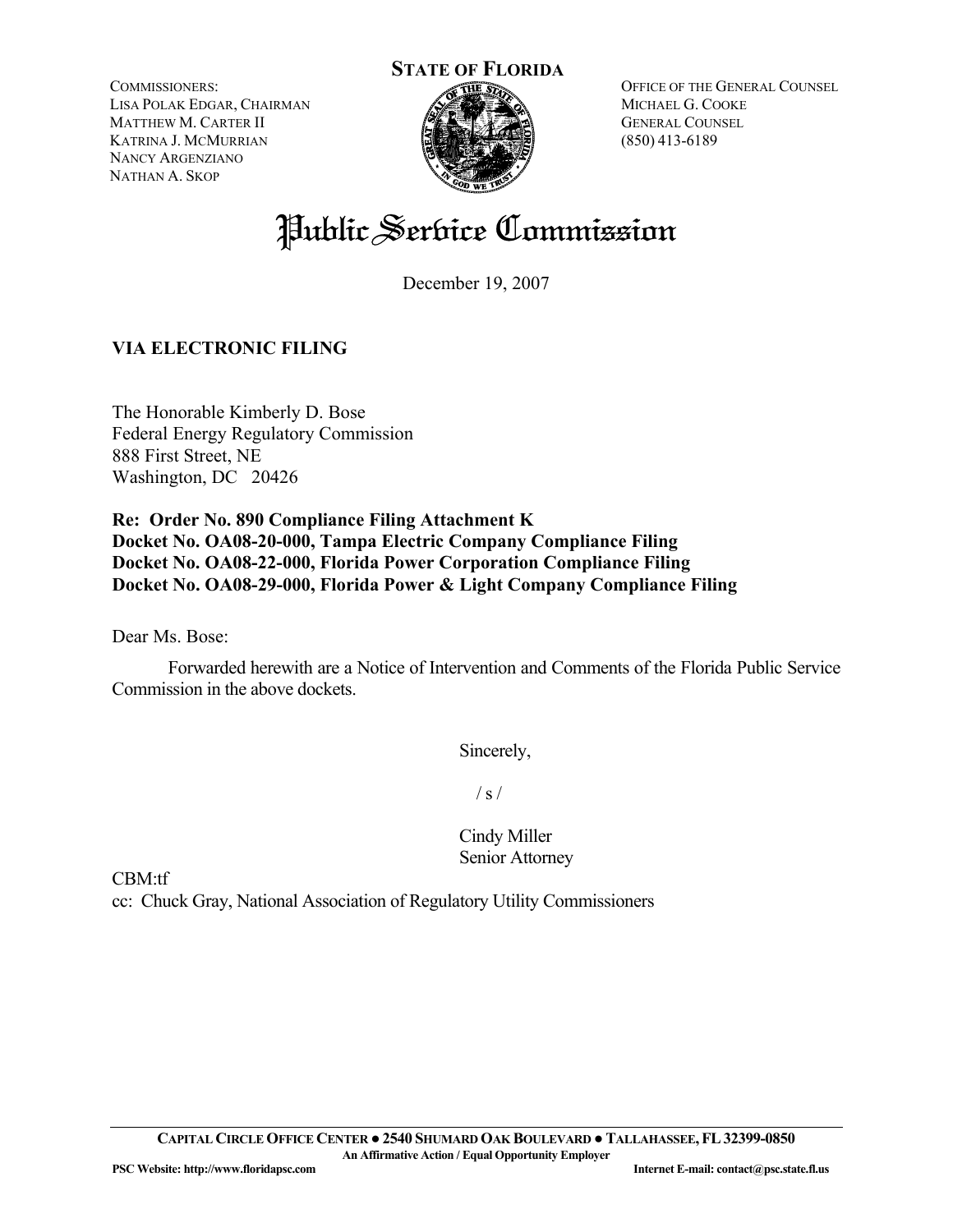**STATE OF FLORIDA**

COMMISSIONERS: LISA POLAK EDGAR, CHAIRMAN MATTHEW M. CARTER II KATRINA J. MCMURRIAN NANCY ARGENZIANO NATHAN A. SKOP



OFFICE OF THE GENERAL COUNSEL MICHAEL G. COOKE GENERAL COUNSEL (850) 413-6189

# Public Service Commission

December 19, 2007

# **VIA ELECTRONIC FILING**

The Honorable Kimberly D. Bose Federal Energy Regulatory Commission 888 First Street, NE Washington, DC 20426

**Re: Order No. 890 Compliance Filing Attachment K Docket No. OA08-20-000, Tampa Electric Company Compliance Filing Docket No. OA08-22-000, Florida Power Corporation Compliance Filing Docket No. OA08-29-000, Florida Power & Light Company Compliance Filing** 

Dear Ms. Bose:

Forwarded herewith are a Notice of Intervention and Comments of the Florida Public Service Commission in the above dockets.

Sincerely,

 $/ s /$ 

Cindy Miller Senior Attorney

CBM:tf

cc: Chuck Gray, National Association of Regulatory Utility Commissioners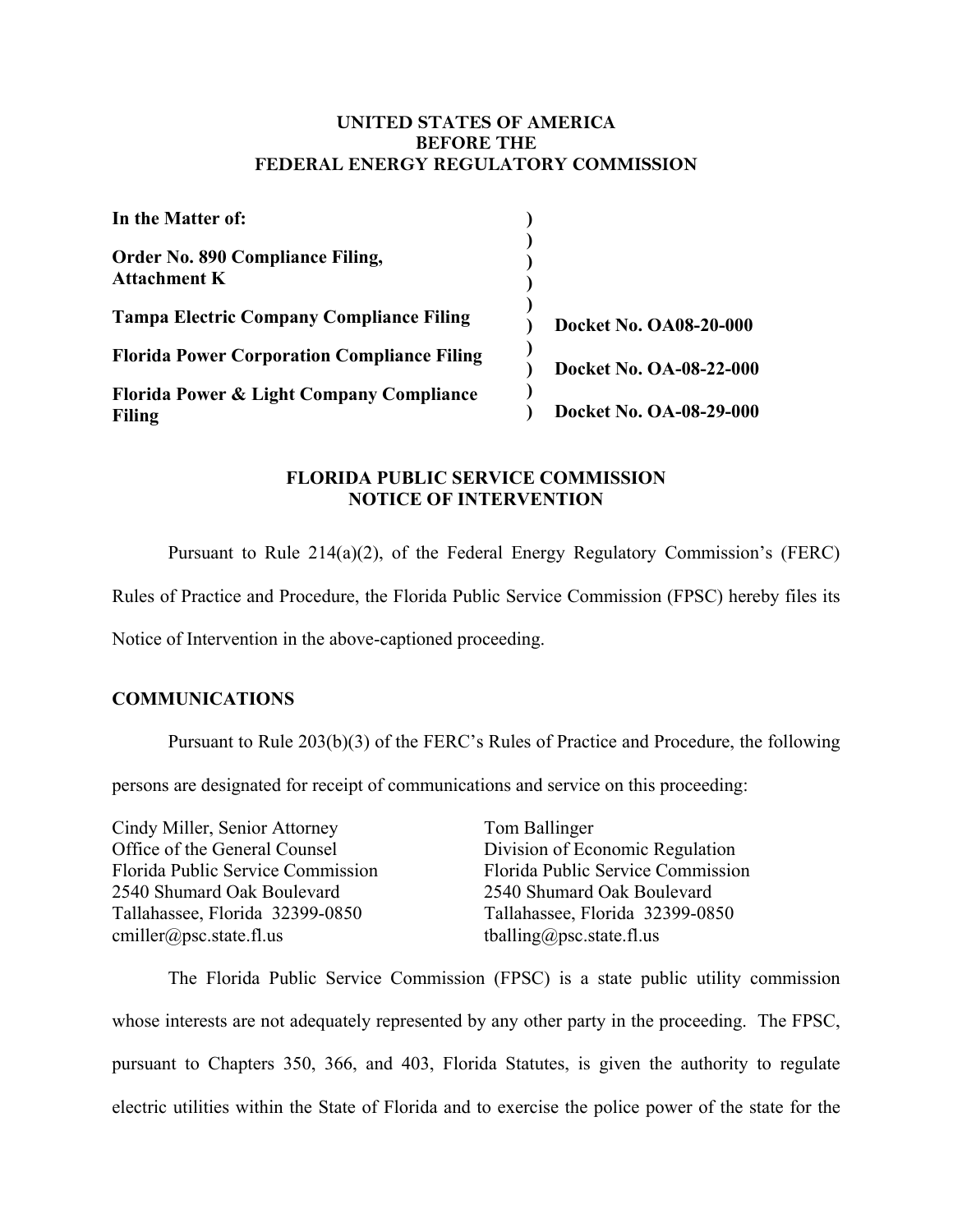#### **UNITED STATES OF AMERICA BEFORE THE FEDERAL ENERGY REGULATORY COMMISSION**

| In the Matter of:                                                    |                         |
|----------------------------------------------------------------------|-------------------------|
| Order No. 890 Compliance Filing,<br><b>Attachment K</b>              |                         |
| <b>Tampa Electric Company Compliance Filing</b>                      | Docket No. OA08-20-000  |
| <b>Florida Power Corporation Compliance Filing</b>                   | Docket No. OA-08-22-000 |
| <b>Florida Power &amp; Light Company Compliance</b><br><b>Filing</b> | Docket No. OA-08-29-000 |

### **FLORIDA PUBLIC SERVICE COMMISSION NOTICE OF INTERVENTION**

Pursuant to Rule 214(a)(2), of the Federal Energy Regulatory Commission's (FERC)

Rules of Practice and Procedure, the Florida Public Service Commission (FPSC) hereby files its

Notice of Intervention in the above-captioned proceeding.

#### **COMMUNICATIONS**

Pursuant to Rule 203(b)(3) of the FERC's Rules of Practice and Procedure, the following

persons are designated for receipt of communications and service on this proceeding:

Cindy Miller, Senior Attorney Office of the General Counsel Florida Public Service Commission 2540 Shumard Oak Boulevard Tallahassee, Florida 32399-0850 cmiller@psc.state.fl.us

Tom Ballinger Division of Economic Regulation Florida Public Service Commission 2540 Shumard Oak Boulevard Tallahassee, Florida 32399-0850 tballing@psc.state.fl.us

 The Florida Public Service Commission (FPSC) is a state public utility commission whose interests are not adequately represented by any other party in the proceeding. The FPSC, pursuant to Chapters 350, 366, and 403, Florida Statutes, is given the authority to regulate electric utilities within the State of Florida and to exercise the police power of the state for the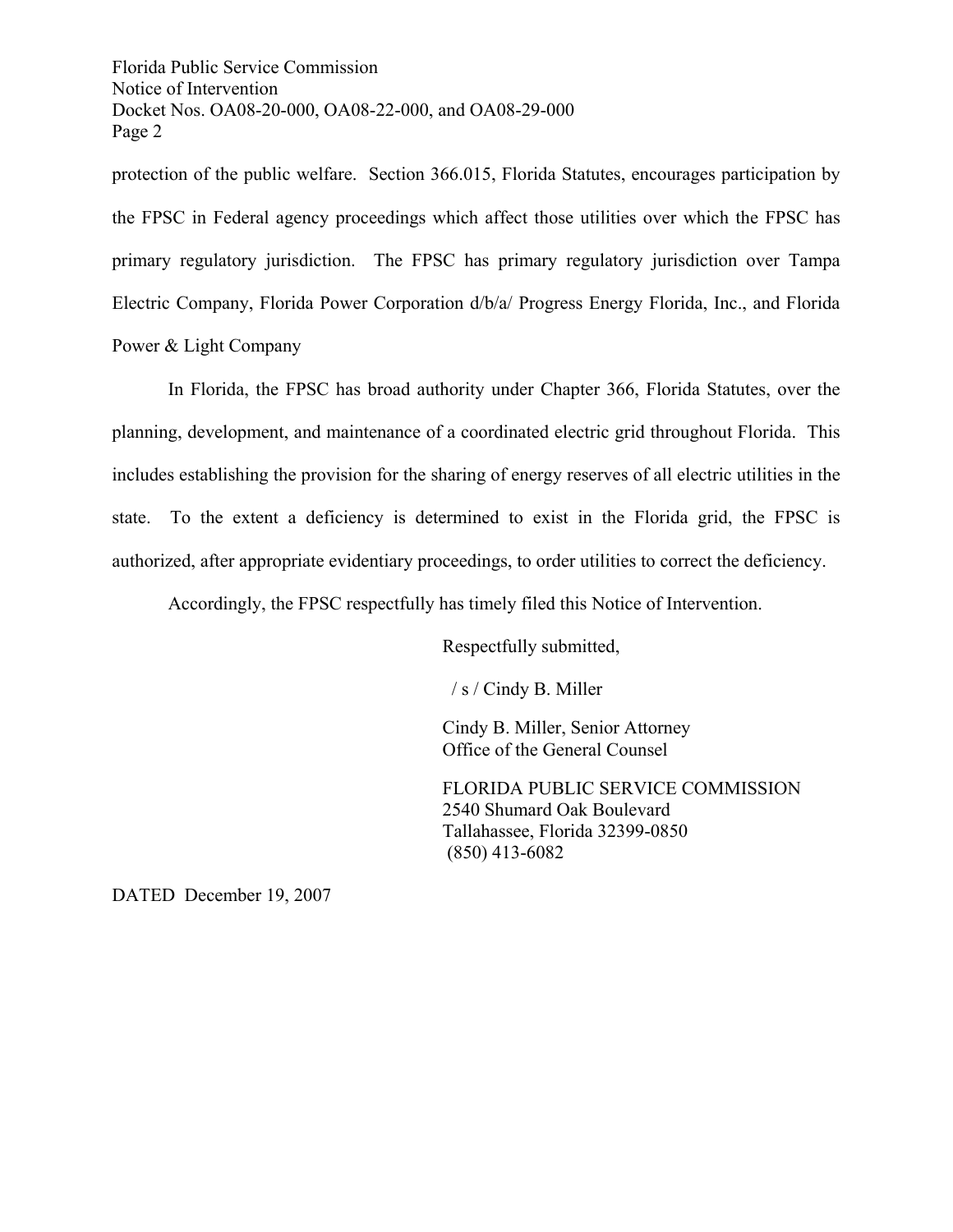Florida Public Service Commission Notice of Intervention Docket Nos. OA08-20-000, OA08-22-000, and OA08-29-000 Page 2

protection of the public welfare. Section 366.015, Florida Statutes, encourages participation by the FPSC in Federal agency proceedings which affect those utilities over which the FPSC has primary regulatory jurisdiction. The FPSC has primary regulatory jurisdiction over Tampa Electric Company, Florida Power Corporation d/b/a/ Progress Energy Florida, Inc., and Florida Power & Light Company

 In Florida, the FPSC has broad authority under Chapter 366, Florida Statutes, over the planning, development, and maintenance of a coordinated electric grid throughout Florida. This includes establishing the provision for the sharing of energy reserves of all electric utilities in the state. To the extent a deficiency is determined to exist in the Florida grid, the FPSC is authorized, after appropriate evidentiary proceedings, to order utilities to correct the deficiency.

Accordingly, the FPSC respectfully has timely filed this Notice of Intervention.

Respectfully submitted,

/ s / Cindy B. Miller

Cindy B. Miller, Senior Attorney Office of the General Counsel

FLORIDA PUBLIC SERVICE COMMISSION 2540 Shumard Oak Boulevard Tallahassee, Florida 32399-0850 (850) 413-6082

DATED December 19, 2007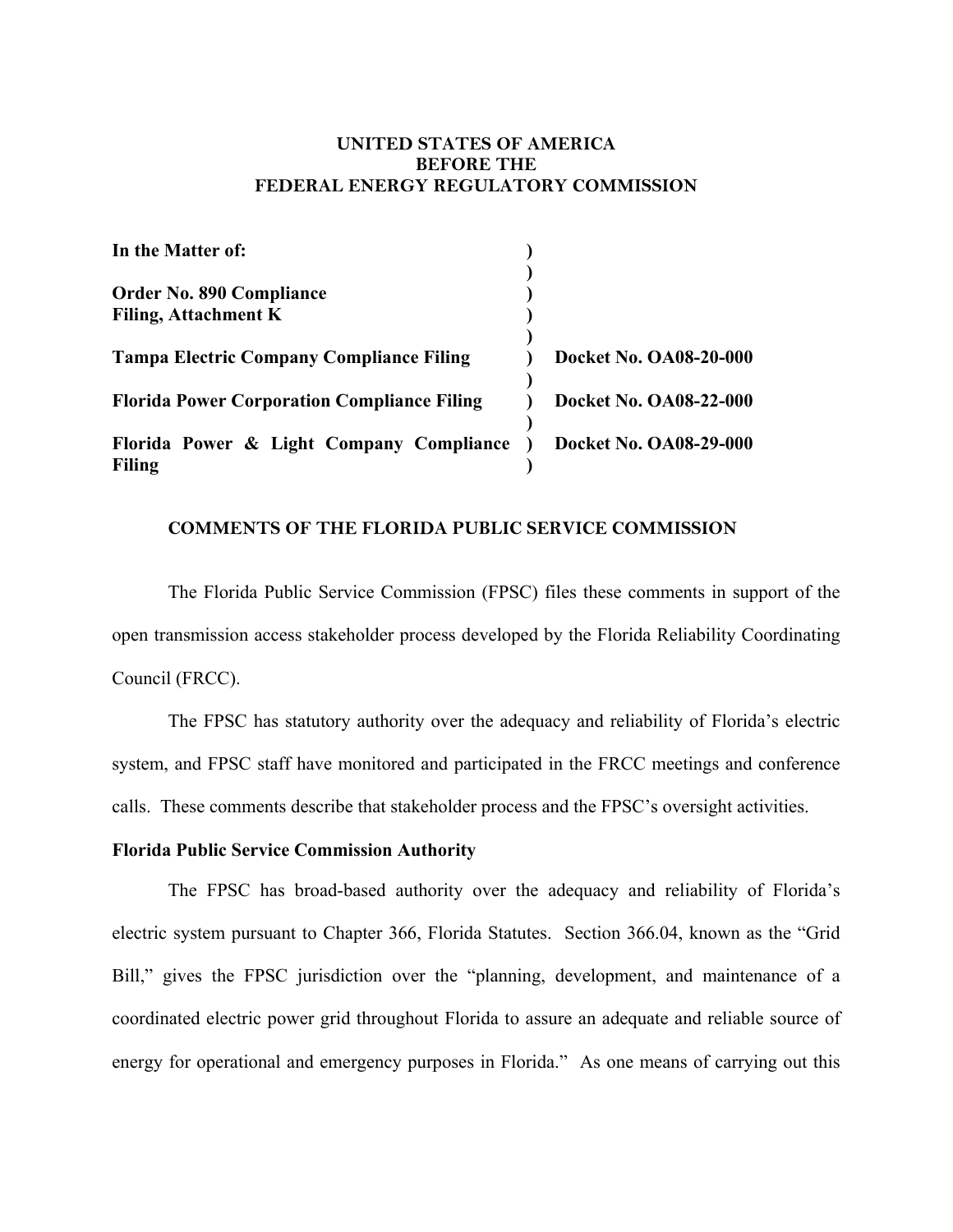#### **UNITED STATES OF AMERICA BEFORE THE FEDERAL ENERGY REGULATORY COMMISSION**

| In the Matter of:                                         |                        |
|-----------------------------------------------------------|------------------------|
| <b>Order No. 890 Compliance</b>                           |                        |
| <b>Filing, Attachment K</b>                               |                        |
| <b>Tampa Electric Company Compliance Filing</b>           | Docket No. OA08-20-000 |
| <b>Florida Power Corporation Compliance Filing</b>        | Docket No. OA08-22-000 |
| Florida Power & Light Company Compliance<br><b>Filing</b> | Docket No. OA08-29-000 |

#### **COMMENTS OF THE FLORIDA PUBLIC SERVICE COMMISSION**

 The Florida Public Service Commission (FPSC) files these comments in support of the open transmission access stakeholder process developed by the Florida Reliability Coordinating Council (FRCC).

 The FPSC has statutory authority over the adequacy and reliability of Florida's electric system, and FPSC staff have monitored and participated in the FRCC meetings and conference calls. These comments describe that stakeholder process and the FPSC's oversight activities.

#### **Florida Public Service Commission Authority**

The FPSC has broad-based authority over the adequacy and reliability of Florida's electric system pursuant to Chapter 366, Florida Statutes. Section 366.04, known as the "Grid Bill," gives the FPSC jurisdiction over the "planning, development, and maintenance of a coordinated electric power grid throughout Florida to assure an adequate and reliable source of energy for operational and emergency purposes in Florida." As one means of carrying out this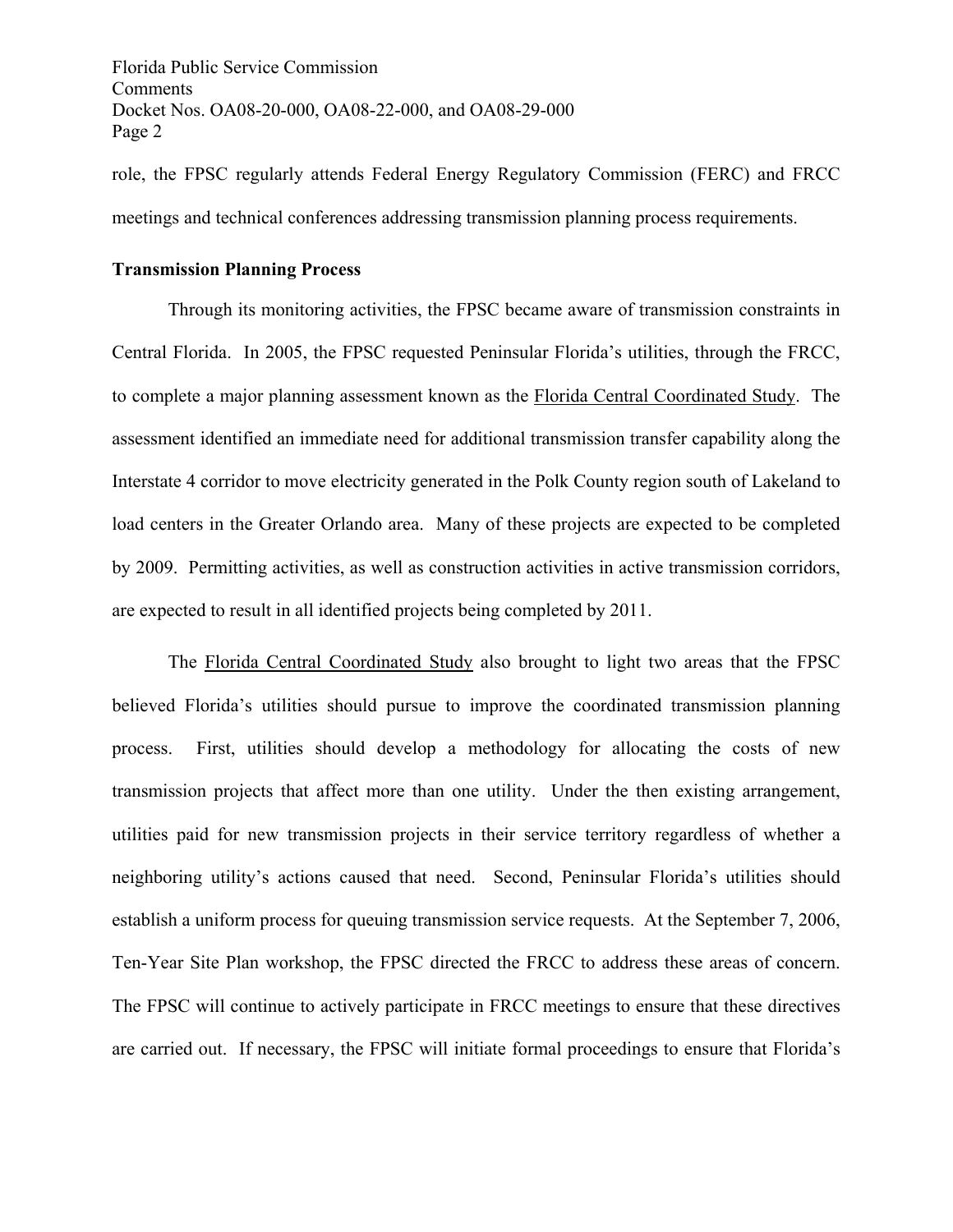Florida Public Service Commission Comments Docket Nos. OA08-20-000, OA08-22-000, and OA08-29-000 Page 2

role, the FPSC regularly attends Federal Energy Regulatory Commission (FERC) and FRCC meetings and technical conferences addressing transmission planning process requirements.

#### **Transmission Planning Process**

Through its monitoring activities, the FPSC became aware of transmission constraints in Central Florida. In 2005, the FPSC requested Peninsular Florida's utilities, through the FRCC, to complete a major planning assessment known as the Florida Central Coordinated Study. The assessment identified an immediate need for additional transmission transfer capability along the Interstate 4 corridor to move electricity generated in the Polk County region south of Lakeland to load centers in the Greater Orlando area. Many of these projects are expected to be completed by 2009. Permitting activities, as well as construction activities in active transmission corridors, are expected to result in all identified projects being completed by 2011.

The Florida Central Coordinated Study also brought to light two areas that the FPSC believed Florida's utilities should pursue to improve the coordinated transmission planning process. First, utilities should develop a methodology for allocating the costs of new transmission projects that affect more than one utility. Under the then existing arrangement, utilities paid for new transmission projects in their service territory regardless of whether a neighboring utility's actions caused that need. Second, Peninsular Florida's utilities should establish a uniform process for queuing transmission service requests. At the September 7, 2006, Ten-Year Site Plan workshop, the FPSC directed the FRCC to address these areas of concern. The FPSC will continue to actively participate in FRCC meetings to ensure that these directives are carried out. If necessary, the FPSC will initiate formal proceedings to ensure that Florida's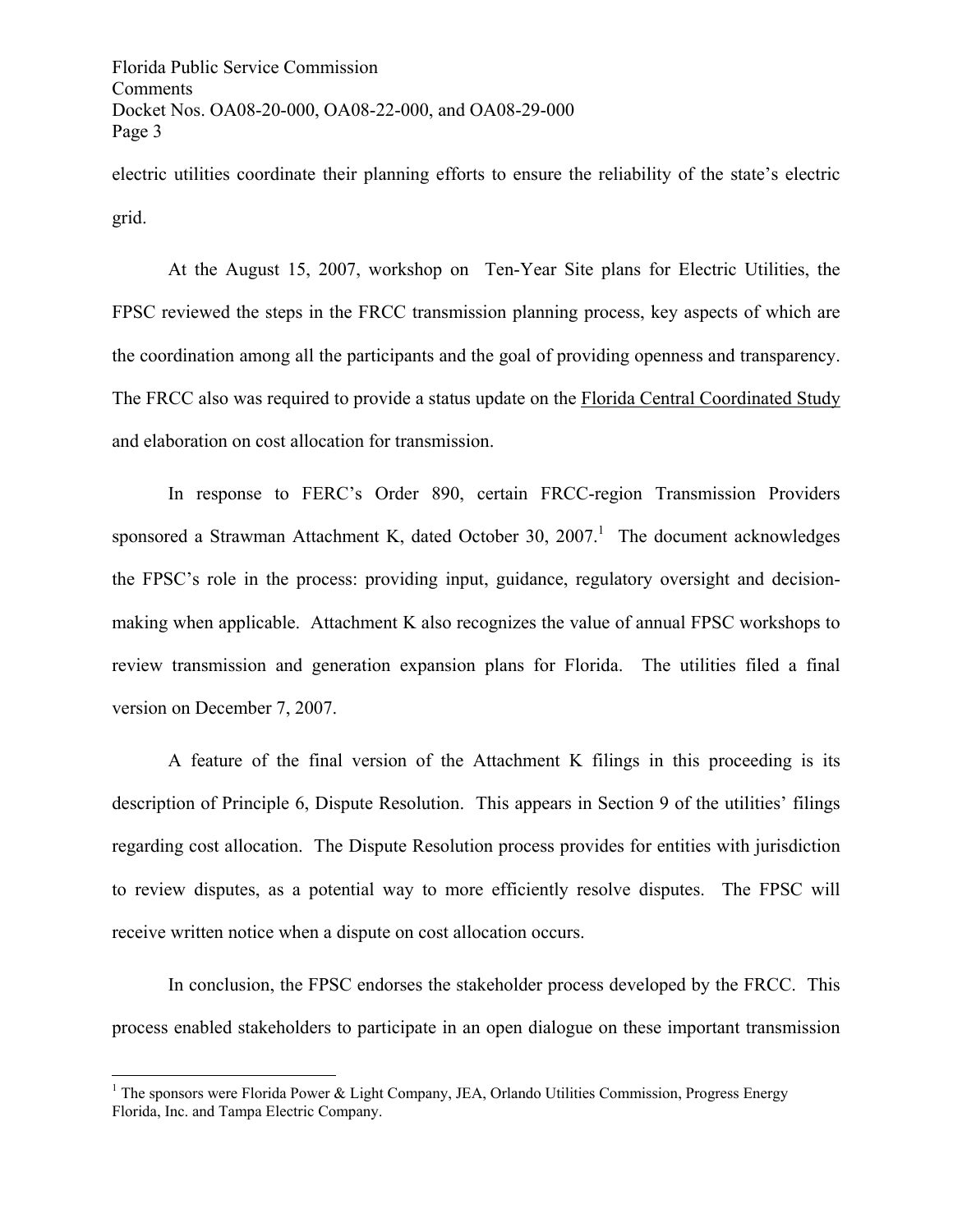Florida Public Service Commission Comments Docket Nos. OA08-20-000, OA08-22-000, and OA08-29-000 Page 3

electric utilities coordinate their planning efforts to ensure the reliability of the state's electric grid.

At the August 15, 2007, workshop on Ten-Year Site plans for Electric Utilities, the FPSC reviewed the steps in the FRCC transmission planning process, key aspects of which are the coordination among all the participants and the goal of providing openness and transparency. The FRCC also was required to provide a status update on the Florida Central Coordinated Study and elaboration on cost allocation for transmission.

In response to FERC's Order 890, certain FRCC-region Transmission Providers sponsored a Strawman Attachment K, dated October 30,  $2007$ .<sup>1</sup> The document acknowledges the FPSC's role in the process: providing input, guidance, regulatory oversight and decisionmaking when applicable. Attachment K also recognizes the value of annual FPSC workshops to review transmission and generation expansion plans for Florida. The utilities filed a final version on December 7, 2007.

A feature of the final version of the Attachment K filings in this proceeding is its description of Principle 6, Dispute Resolution. This appears in Section 9 of the utilities' filings regarding cost allocation. The Dispute Resolution process provides for entities with jurisdiction to review disputes, as a potential way to more efficiently resolve disputes. The FPSC will receive written notice when a dispute on cost allocation occurs.

In conclusion, the FPSC endorses the stakeholder process developed by the FRCC. This process enabled stakeholders to participate in an open dialogue on these important transmission

 $\overline{a}$ 

<sup>&</sup>lt;sup>1</sup> The sponsors were Florida Power & Light Company, JEA, Orlando Utilities Commission, Progress Energy Florida, Inc. and Tampa Electric Company.